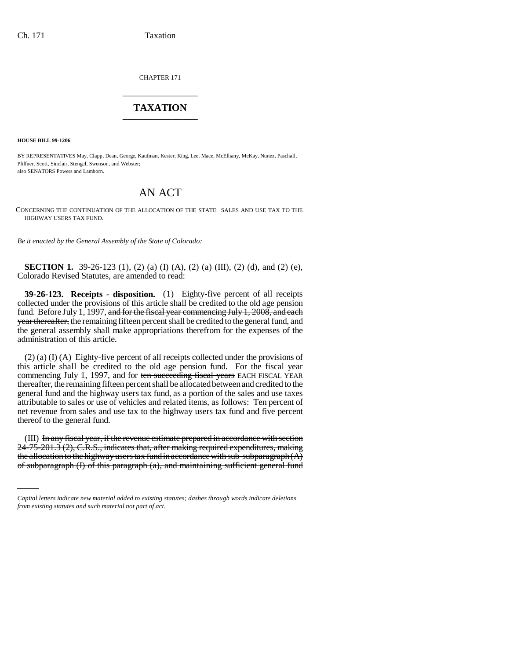CHAPTER 171 \_\_\_\_\_\_\_\_\_\_\_\_\_\_\_

## **TAXATION** \_\_\_\_\_\_\_\_\_\_\_\_\_\_\_

**HOUSE BILL 99-1206**

BY REPRESENTATIVES May, Clapp, Dean, George, Kaufman, Kester, King, Lee, Mace, McElhany, McKay, Nunez, Paschall, Pfiffner, Scott, Sinclair, Stengel, Swenson, and Webster; also SENATORS Powers and Lamborn.

## AN ACT

CONCERNING THE CONTINUATION OF THE ALLOCATION OF THE STATE SALES AND USE TAX TO THE HIGHWAY USERS TAX FUND.

*Be it enacted by the General Assembly of the State of Colorado:*

**SECTION 1.** 39-26-123 (1), (2) (a) (I) (A), (2) (a) (III), (2) (d), and (2) (e), Colorado Revised Statutes, are amended to read:

**39-26-123. Receipts - disposition.** (1) Eighty-five percent of all receipts collected under the provisions of this article shall be credited to the old age pension fund. Before July 1, 1997, and for the fiscal year commencing July 1, 2008, and each year thereafter, the remaining fifteen percent shall be credited to the general fund, and the general assembly shall make appropriations therefrom for the expenses of the administration of this article.

(2) (a) (I) (A) Eighty-five percent of all receipts collected under the provisions of this article shall be credited to the old age pension fund. For the fiscal year commencing July 1, 1997, and for ten succeeding fiscal years EACH FISCAL YEAR thereafter, the remaining fifteen percent shall be allocated between and credited to the general fund and the highway users tax fund, as a portion of the sales and use taxes attributable to sales or use of vehicles and related items, as follows: Ten percent of net revenue from sales and use tax to the highway users tax fund and five percent thereof to the general fund.

24-75-201.3 (2), C.R.S., indicates that, after making required expenditures, making (III) In any fiscal year, if the revenue estimate prepared in accordance with section the allocation to the highway users tax fund in accordance with sub-subparagraph  $(A)$ of subparagraph (I) of this paragraph (a), and maintaining sufficient general fund

*Capital letters indicate new material added to existing statutes; dashes through words indicate deletions from existing statutes and such material not part of act.*